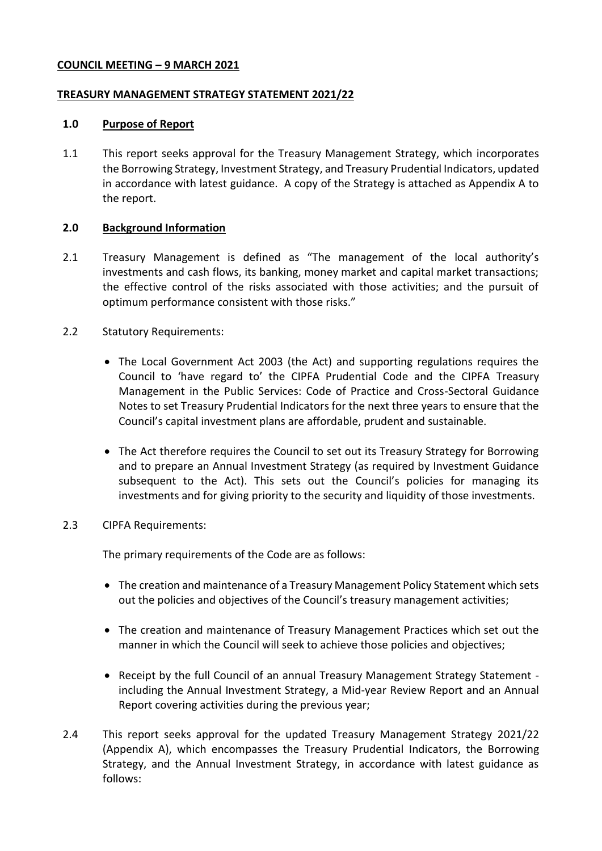### **COUNCIL MEETING – 9 MARCH 2021**

### **TREASURY MANAGEMENT STRATEGY STATEMENT 2021/22**

#### **1.0 Purpose of Report**

1.1 This report seeks approval for the Treasury Management Strategy, which incorporates the Borrowing Strategy, Investment Strategy, and Treasury Prudential Indicators, updated in accordance with latest guidance. A copy of the Strategy is attached as Appendix A to the report.

## **2.0 Background Information**

- 2.1 Treasury Management is defined as "The management of the local authority's investments and cash flows, its banking, money market and capital market transactions; the effective control of the risks associated with those activities; and the pursuit of optimum performance consistent with those risks."
- 2.2 Statutory Requirements:
	- The Local Government Act 2003 (the Act) and supporting regulations requires the Council to 'have regard to' the CIPFA Prudential Code and the CIPFA Treasury Management in the Public Services: Code of Practice and Cross-Sectoral Guidance Notes to set Treasury Prudential Indicators for the next three years to ensure that the Council's capital investment plans are affordable, prudent and sustainable.
	- The Act therefore requires the Council to set out its Treasury Strategy for Borrowing and to prepare an Annual Investment Strategy (as required by Investment Guidance subsequent to the Act). This sets out the Council's policies for managing its investments and for giving priority to the security and liquidity of those investments.

## 2.3 CIPFA Requirements:

The primary requirements of the Code are as follows:

- The creation and maintenance of a Treasury Management Policy Statement which sets out the policies and objectives of the Council's treasury management activities;
- The creation and maintenance of Treasury Management Practices which set out the manner in which the Council will seek to achieve those policies and objectives;
- Receipt by the full Council of an annual Treasury Management Strategy Statement including the Annual Investment Strategy, a Mid-year Review Report and an Annual Report covering activities during the previous year;
- 2.4 This report seeks approval for the updated Treasury Management Strategy 2021/22 (Appendix A), which encompasses the Treasury Prudential Indicators, the Borrowing Strategy, and the Annual Investment Strategy, in accordance with latest guidance as follows: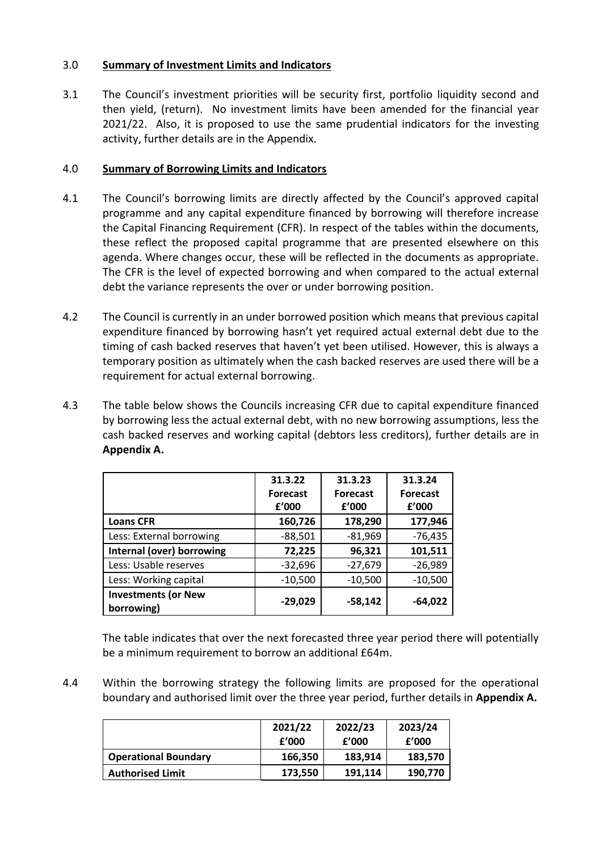# 3.0 **Summary of Investment Limits and Indicators**

3.1 The Council's investment priorities will be security first, portfolio liquidity second and then yield, (return). No investment limits have been amended for the financial year 2021/22. Also, it is proposed to use the same prudential indicators for the investing activity, further details are in the Appendix.

## 4.0 **Summary of Borrowing Limits and Indicators**

- 4.1 The Council's borrowing limits are directly affected by the Council's approved capital programme and any capital expenditure financed by borrowing will therefore increase the Capital Financing Requirement (CFR). In respect of the tables within the documents, these reflect the proposed capital programme that are presented elsewhere on this agenda. Where changes occur, these will be reflected in the documents as appropriate. The CFR is the level of expected borrowing and when compared to the actual external debt the variance represents the over or under borrowing position.
- 4.2 The Council is currently in an under borrowed position which means that previous capital expenditure financed by borrowing hasn't yet required actual external debt due to the timing of cash backed reserves that haven't yet been utilised. However, this is always a temporary position as ultimately when the cash backed reserves are used there will be a requirement for actual external borrowing.
- 4.3 The table below shows the Councils increasing CFR due to capital expenditure financed by borrowing less the actual external debt, with no new borrowing assumptions, less the cash backed reserves and working capital (debtors less creditors), further details are in **Appendix A.**

|                                          | 31.3.22<br><b>Forecast</b><br>f'000 | 31.3.23<br><b>Forecast</b><br>f'000 | 31.3.24<br><b>Forecast</b><br>f'000 |
|------------------------------------------|-------------------------------------|-------------------------------------|-------------------------------------|
| <b>Loans CFR</b>                         | 160,726                             | 178,290                             | 177,946                             |
| Less: External borrowing                 | $-88,501$                           | $-81,969$                           | $-76,435$                           |
| Internal (over) borrowing                | 72,225                              | 96,321                              | 101,511                             |
| Less: Usable reserves                    | $-32,696$                           | $-27,679$                           | $-26,989$                           |
| Less: Working capital                    | $-10,500$                           | $-10,500$                           | $-10,500$                           |
| <b>Investments (or New</b><br>borrowing) | $-29,029$                           | $-58,142$                           | $-64,022$                           |

The table indicates that over the next forecasted three year period there will potentially be a minimum requirement to borrow an additional £64m.

4.4 Within the borrowing strategy the following limits are proposed for the operational boundary and authorised limit over the three year period, further details in **Appendix A.**

|                             | 2021/22<br>f'000 | 2022/23<br>f'000 | 2023/24<br>f'000 |
|-----------------------------|------------------|------------------|------------------|
| <b>Operational Boundary</b> | 166,350          | 183,914          | 183,570          |
| <b>Authorised Limit</b>     | 173,550          | 191,114          | 190,770          |